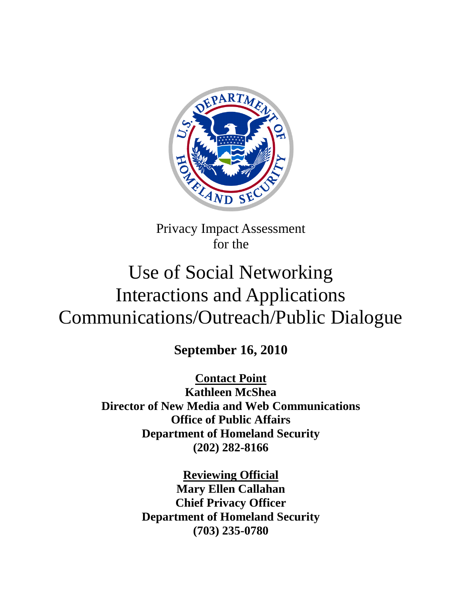

Privacy Impact Assessment for the

# Use of Social Networking Interactions and Applications Communications/Outreach/Public Dialogue

**September 16, 2010**

**Contact Point Kathleen McShea Director of New Media and Web Communications Office of Public Affairs Department of Homeland Security (202) 282-8166**

> **Reviewing Official Mary Ellen Callahan Chief Privacy Officer Department of Homeland Security (703) 235-0780**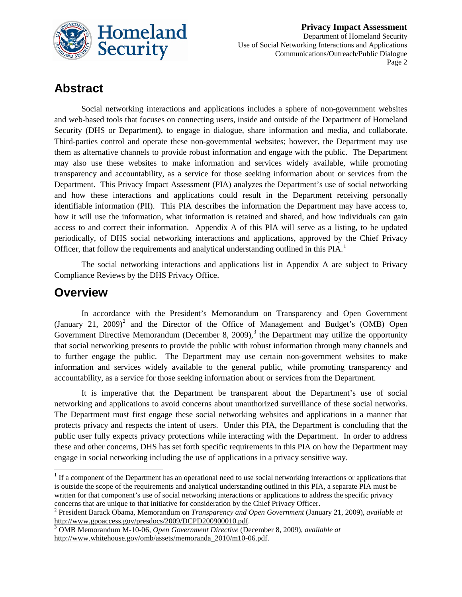

### **Abstract**

Social networking interactions and applications includes a sphere of non-government websites and web-based tools that focuses on connecting users, inside and outside of the Department of Homeland Security (DHS or Department), to engage in dialogue, share information and media, and collaborate. Third-parties control and operate these non-governmental websites; however, the Department may use them as alternative channels to provide robust information and engage with the public. The Department may also use these websites to make information and services widely available, while promoting transparency and accountability, as a service for those seeking information about or services from the Department. This Privacy Impact Assessment (PIA) analyzes the Department's use of social networking and how these interactions and applications could result in the Department receiving personally identifiable information (PII). This PIA describes the information the Department may have access to, how it will use the information, what information is retained and shared, and how individuals can gain access to and correct their information. Appendix A of this PIA will serve as a listing, to be updated periodically, of DHS social networking interactions and applications, approved by the Chief Privacy Officer, that follow the requirements and analytical understanding outlined in this PIA. $<sup>1</sup>$  $<sup>1</sup>$  $<sup>1</sup>$ </sup>

The social networking interactions and applications list in Appendix A are subject to Privacy Compliance Reviews by the DHS Privacy Office.

### **Overview**

In accordance with the President's Memorandum on Transparency and Open Government (January [2](#page-1-1)1, 2009)<sup>2</sup> and the Director of the Office of Management and Budget's (OMB) Open Government Directive Memorandum (December 8, 2009),<sup>[3](#page-1-2)</sup> the Department may utilize the opportunity that social networking presents to provide the public with robust information through many channels and to further engage the public. The Department may use certain non-government websites to make information and services widely available to the general public, while promoting transparency and accountability, as a service for those seeking information about or services from the Department.

It is imperative that the Department be transparent about the Department's use of social networking and applications to avoid concerns about unauthorized surveillance of these social networks. The Department must first engage these social networking websites and applications in a manner that protects privacy and respects the intent of users. Under this PIA, the Department is concluding that the public user fully expects privacy protections while interacting with the Department. In order to address these and other concerns, DHS has set forth specific requirements in this PIA on how the Department may engage in social networking including the use of applications in a privacy sensitive way.

<span id="page-1-0"></span><sup>&</sup>lt;sup>1</sup> If a component of the Department has an operational need to use social networking interactions or applications that is outside the scope of the requirements and analytical understanding outlined in this PIA, a separate PIA must be written for that component's use of social networking interactions or applications to address the specific privacy concerns that are unique to that initiative for consideration by the Chief Privacy Officer. 2 President Barack Obama, Memorandum on *Transparency and Open Government* (January 21, 2009), *available at*

<span id="page-1-1"></span>[http://www.gpoaccess.gov/presdocs/2009/DCPD200900010.pdf.](http://www.gpoaccess.gov/presdocs/2009/DCPD200900010.pdf) [3](http://www.gpoaccess.gov/presdocs/2009/DCPD200900010.pdf) OMB Memorandum M-10-06, *Open Government Directive* (December 8, 2009), *available at* 

<span id="page-1-2"></span>[http://www.whitehouse.gov/omb/assets/memoranda\\_2010/m10-06.pdf.](http://www.whitehouse.gov/omb/assets/memoranda_2010/m10-06.pdf)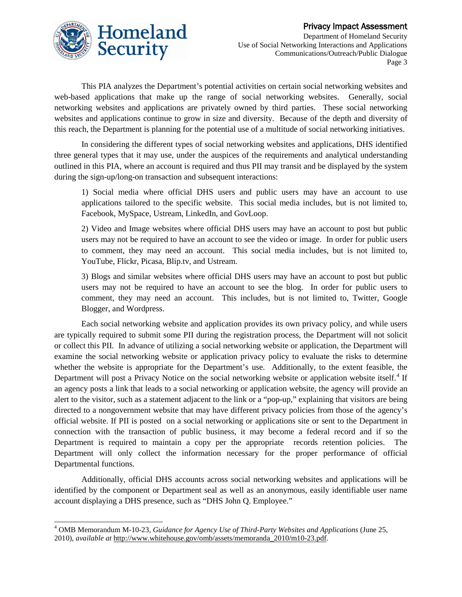

This PIA analyzes the Department's potential activities on certain social networking websites and web-based applications that make up the range of social networking websites. Generally, social networking websites and applications are privately owned by third parties. These social networking websites and applications continue to grow in size and diversity. Because of the depth and diversity of this reach, the Department is planning for the potential use of a multitude of social networking initiatives.

In considering the different types of social networking websites and applications, DHS identified three general types that it may use, under the auspices of the requirements and analytical understanding outlined in this PIA, where an account is required and thus PII may transit and be displayed by the system during the sign-up/long-on transaction and subsequent interactions:

1) Social media where official DHS users and public users may have an account to use applications tailored to the specific website. This social media includes, but is not limited to, Facebook, MySpace, Ustream, LinkedIn, and GovLoop.

2) Video and Image websites where official DHS users may have an account to post but public users may not be required to have an account to see the video or image. In order for public users to comment, they may need an account. This social media includes, but is not limited to, YouTube, Flickr, Picasa, Blip.tv, and Ustream.

3) Blogs and similar websites where official DHS users may have an account to post but public users may not be required to have an account to see the blog. In order for public users to comment, they may need an account. This includes, but is not limited to, Twitter, Google Blogger, and Wordpress.

Each social networking website and application provides its own privacy policy, and while users are typically required to submit some PII during the registration process, the Department will not solicit or collect this PII. In advance of utilizing a social networking website or application, the Department will examine the social networking website or application privacy policy to evaluate the risks to determine whether the website is appropriate for the Department's use. Additionally, to the extent feasible, the Department will post a Privacy Notice on the social networking website or application website itself.<sup>[4](#page-2-0)</sup> If an agency posts a link that leads to a social networking or application website, the agency will provide an alert to the visitor, such as a statement adjacent to the link or a "pop-up," explaining that visitors are being directed to a nongovernment website that may have different privacy policies from those of the agency's official website. If PII is posted on a social networking or applications site or sent to the Department in connection with the transaction of public business, it may become a federal record and if so the Department is required to maintain a copy per the appropriate records retention policies. The Department will only collect the information necessary for the proper performance of official Departmental functions.

Additionally, official DHS accounts across social networking websites and applications will be identified by the component or Department seal as well as an anonymous, easily identifiable user name account displaying a DHS presence, such as "DHS John Q. Employee."

<span id="page-2-0"></span> <sup>4</sup> OMB Memorandum M-10-23, *Guidance for Agency Use of Third-Party Websites and Applications* (June 25, 2010), *available at* [http://www.whitehouse.gov/omb/assets/memoranda\\_2010/m10-23.pdf.](http://www.whitehouse.gov/omb/assets/memoranda_2010/m10-23.pdf)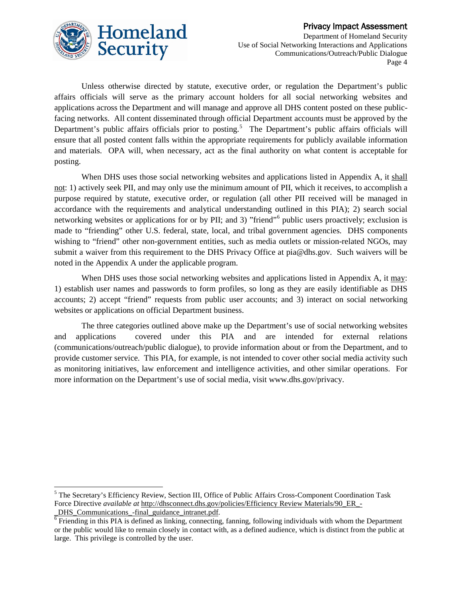

Unless otherwise directed by statute, executive order, or regulation the Department's public affairs officials will serve as the primary account holders for all social networking websites and applications across the Department and will manage and approve all DHS content posted on these publicfacing networks. All content disseminated through official Department accounts must be approved by the Department's public affairs officials prior to posting.<sup>[5](#page-3-0)</sup> The Department's public affairs officials will ensure that all posted content falls within the appropriate requirements for publicly available information and materials. OPA will, when necessary, act as the final authority on what content is acceptable for posting.

When DHS uses those social networking websites and applications listed in Appendix A, it shall not: 1) actively seek PII, and may only use the minimum amount of PII, which it receives, to accomplish a purpose required by statute, executive order, or regulation (all other PII received will be managed in accordance with the requirements and analytical understanding outlined in this PIA); 2) search social networking websites or applications for or by PII; and 3) "friend"<sup>[6](#page-3-1)</sup> public users proactively; exclusion is made to "friending" other U.S. federal, state, local, and tribal government agencies. DHS components wishing to "friend" other non-government entities, such as media outlets or mission-related NGOs, may submit a waiver from this requirement to the DHS Privacy Office at pia@dhs.gov. Such waivers will be noted in the Appendix A under the applicable program.

When DHS uses those social networking websites and applications listed in Appendix A, it may: 1) establish user names and passwords to form profiles, so long as they are easily identifiable as DHS accounts; 2) accept "friend" requests from public user accounts; and 3) interact on social networking websites or applications on official Department business.

The three categories outlined above make up the Department's use of social networking websites and applications covered under this PIA and are intended for external relations (communications/outreach/public dialogue), to provide information about or from the Department, and to provide customer service. This PIA, for example, is not intended to cover other social media activity such as monitoring initiatives, law enforcement and intelligence activities, and other similar operations. For more information on the Department's use of social media, visit www.dhs.gov/privacy.

<span id="page-3-0"></span> <sup>5</sup> The Secretary's Efficiency Review, Section III, Office of Public Affairs Cross-Component Coordination Task Force Directive *available at* http://dhsconnect.dhs.gov/policies/Efficiency Review Materials/90 ER -

<span id="page-3-1"></span> $\frac{DHS\_Communications_{final\_guidance\_intranet.pdf}{6}$  Friending in this PIA is defined as linking, connecting, fanning, following individuals with whom the Department or the public would like to remain closely in contact with, as a defined audience, which is distinct from the public at large. This privilege is controlled by the user.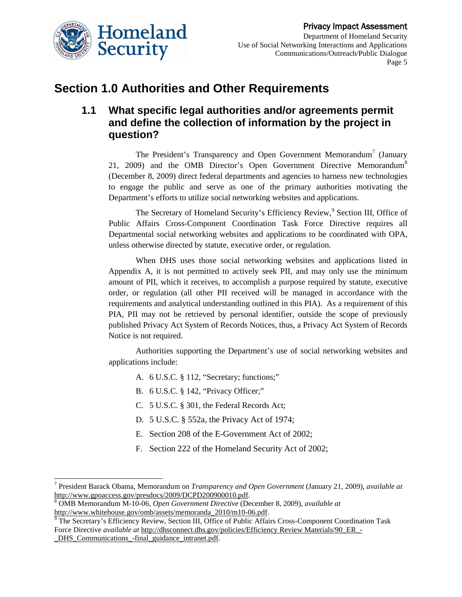

### **Section 1.0 Authorities and Other Requirements**

### **1.1 What specific legal authorities and/or agreements permit and define the collection of information by the project in question?**

The President's Transparency and Open Government Memorandum<sup>[7](#page-4-0)</sup> (January 21, 2009) and the OMB Director's Open Government Directive Memorandum<sup>[8](#page-4-1)</sup> (December 8, 2009) direct federal departments and agencies to harness new technologies to engage the public and serve as one of the primary authorities motivating the Department's efforts to utilize social networking websites and applications.

The Secretary of Homeland Security's Efficiency Review,<sup>[9](#page-4-2)</sup> Section III, Office of Public Affairs Cross-Component Coordination Task Force Directive requires all Departmental social networking websites and applications to be coordinated with OPA, unless otherwise directed by statute, executive order, or regulation.

When DHS uses those social networking websites and applications listed in Appendix A, it is not permitted to actively seek PII, and may only use the minimum amount of PII, which it receives, to accomplish a purpose required by statute, executive order, or regulation (all other PII received will be managed in accordance with the requirements and analytical understanding outlined in this PIA). As a requirement of this PIA, PII may not be retrieved by personal identifier, outside the scope of previously published Privacy Act System of Records Notices, thus, a Privacy Act System of Records Notice is not required.

Authorities supporting the Department's use of social networking websites and applications include:

- A. 6 U.S.C. § 112, "Secretary; functions;"
- B. 6 U.S.C. § 142, "Privacy Officer;"
- C. 5 U.S.C. § 301, the Federal Records Act;
- D. 5 U.S.C. § 552a, the Privacy Act of 1974;
- E. Section 208 of the E-Government Act of 2002;
- F. Section 222 of the Homeland Security Act of 2002;

<span id="page-4-0"></span> <sup>7</sup> President Barack Obama, Memorandum on *Transparency and Open Government* (January 21, 2009), *available at* [http://www.gpoaccess.gov/presdocs/2009/DCPD200900010.pdf.](http://www.gpoaccess.gov/presdocs/2009/DCPD200900010.pdf) <sup>8</sup> OMB Memorandum M-10-06, *Open Government Directive* (December 8, 2009), *available at* 

<span id="page-4-1"></span>

<span id="page-4-2"></span>[http://www.whitehouse.gov/omb/assets/memoranda\\_2010/m10-06.pdf. 9](http://www.whitehouse.gov/omb/assets/memoranda_2010/m10-06.pdf) The Secretary's Efficiency Review, Section III, Office of Public Affairs Cross-Component Coordination Task Force Directive *available at* http://dhsconnect.dhs.gov/policies/Efficiency Review Materials/90 ER -[\\_DHS\\_Communications\\_-final\\_guidance\\_intranet.pdf.](http://dhsconnect.dhs.gov/policies/Efficiency%20Review%20Materials/90_ER_-_DHS_Communications_-final_guidance_intranet.pdf)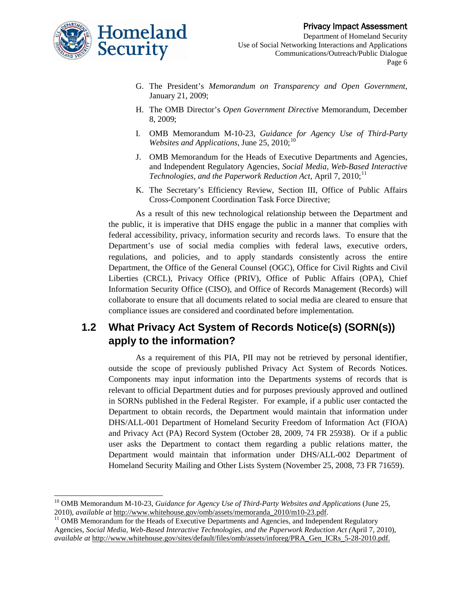- G. The President's *Memorandum on Transparency and Open Government*, January 21, 2009;
- H. The OMB Director's *Open Government Directive* Memorandum, December 8, 2009;
- I. OMB Memorandum M-10-23, *Guidance for Agency Use of Third-Party Websites and Applications*, June 25, 2010; [10](#page-5-0)
- J. OMB Memorandum for the Heads of Executive Departments and Agencies, and Independent Regulatory Agencies, *Social Media, Web-Based Interactive*  Technologies, and the Paperwork Reduction Act, April 7, 2010;<sup>[11](#page-5-1)</sup>
- K. The Secretary's Efficiency Review, Section III, Office of Public Affairs Cross-Component Coordination Task Force Directive;

As a result of this new technological relationship between the Department and the public, it is imperative that DHS engage the public in a manner that complies with federal accessibility, privacy, information security and records laws. To ensure that the Department's use of social media complies with federal laws, executive orders, regulations, and policies, and to apply standards consistently across the entire Department, the Office of the General Counsel (OGC), Office for Civil Rights and Civil Liberties (CRCL), Privacy Office (PRIV), Office of Public Affairs (OPA), Chief Information Security Office (CISO), and Office of Records Management (Records) will collaborate to ensure that all documents related to social media are cleared to ensure that compliance issues are considered and coordinated before implementation.

### **1.2 What Privacy Act System of Records Notice(s) (SORN(s)) apply to the information?**

As a requirement of this PIA, PII may not be retrieved by personal identifier, outside the scope of previously published Privacy Act System of Records Notices. Components may input information into the Departments systems of records that is relevant to official Department duties and for purposes previously approved and outlined in SORNs published in the Federal Register. For example, if a public user contacted the Department to obtain records, the Department would maintain that information under DHS/ALL-001 Department of Homeland Security Freedom of Information Act (FIOA) and Privacy Act (PA) Record System (October 28, 2009, 74 FR 25938). Or if a public user asks the Department to contact them regarding a public relations matter, the Department would maintain that information under DHS/ALL-002 [Department of](http://edocket.access.gpo.gov/2008/E8-28053.htm)  Homeland Security [Mailing and Other Lists System](http://edocket.access.gpo.gov/2008/E8-28053.htm) (November 25, 2008, 73 FR 71659).

<span id="page-5-0"></span><sup>&</sup>lt;sup>10</sup> OMB Memorandum M-10-23, *Guidance for Agency Use of Third-Party Websites and Applications* (June 25, 2010), *available at http://www.whitehouse.gov/omb/assets/memoranda\_2010/m10-23.pdf.* 

<span id="page-5-1"></span><sup>&</sup>lt;sup>11</sup> OMB Memorandum for the Heads of Executive Departments and Agencies, and Independent Regulatory Agencies, *Social Media, Web-Based Interactive Technologies, and the Paperwork Reduction Act (*April 7, 2010), *available at* http://www.whitehouse.gov/sites/default/files/omb/assets/inforeg/PRA\_Gen\_ICRs\_5-28-2010.pdf.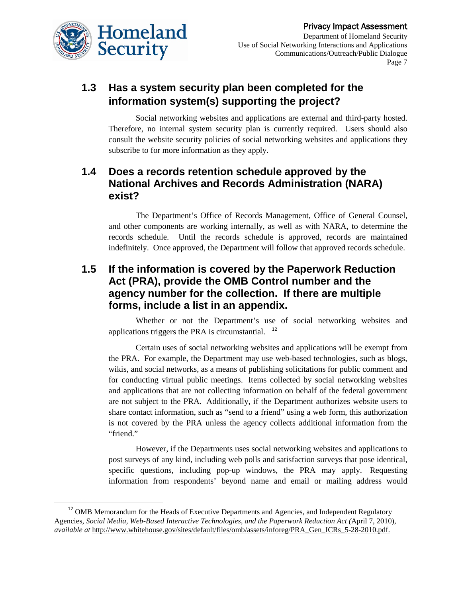

### **1.3 Has a system security plan been completed for the information system(s) supporting the project?**

Social networking websites and applications are external and third-party hosted. Therefore, no internal system security plan is currently required. Users should also consult the website security policies of social networking websites and applications they subscribe to for more information as they apply.

### **1.4 Does a records retention schedule approved by the National Archives and Records Administration (NARA) exist?**

The Department's Office of Records Management, Office of General Counsel, and other components are working internally, as well as with NARA, to determine the records schedule. Until the records schedule is approved, records are maintained indefinitely. Once approved, the Department will follow that approved records schedule.

### **1.5 If the information is covered by the Paperwork Reduction Act (PRA), provide the OMB Control number and the agency number for the collection. If there are multiple forms, include a list in an appendix.**

Whether or not the Department's use of social networking websites and applications triggers the PRA is circumstantial. [12](#page-6-0)

Certain uses of social networking websites and applications will be exempt from the PRA. For example, the Department may use web-based technologies, such as blogs, wikis, and social networks, as a means of publishing solicitations for public comment and for conducting virtual public meetings. Items collected by social networking websites and applications that are not collecting information on behalf of the federal government are not subject to the PRA. Additionally, if the Department authorizes website users to share contact information, such as "send to a friend" using a web form, this authorization is not covered by the PRA unless the agency collects additional information from the "friend."

However, if the Departments uses social networking websites and applications to post surveys of any kind, including web polls and satisfaction surveys that pose identical, specific questions, including pop-up windows, the PRA may apply. Requesting information from respondents' beyond name and email or mailing address would

<span id="page-6-0"></span><sup>&</sup>lt;sup>12</sup> OMB Memorandum for the Heads of Executive Departments and Agencies, and Independent Regulatory Agencies, *Social Media, Web-Based Interactive Technologies, and the Paperwork Reduction Act (*April 7, 2010), *available at http://www.whitehouse.gov/sites/default/files/omb/assets/inforeg/PRA Gen ICRs 5-28-2010.pdf.*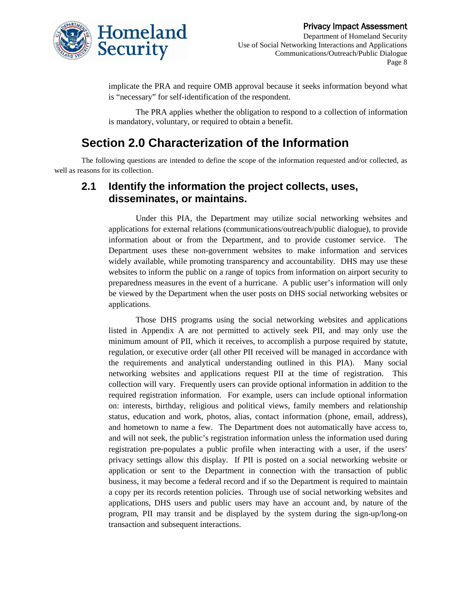

implicate the PRA and require OMB approval because it seeks information beyond what is "necessary" for self-identification of the respondent.

The PRA applies whether the obligation to respond to a collection of information is mandatory, voluntary, or required to obtain a benefit.

### **Section 2.0 Characterization of the Information**

The following questions are intended to define the scope of the information requested and/or collected, as well as reasons for its collection.

### **2.1 Identify the information the project collects, uses, disseminates, or maintains.**

Under this PIA, the Department may utilize social networking websites and applications for external relations (communications/outreach/public dialogue), to provide information about or from the Department, and to provide customer service. The Department uses these non-government websites to make information and services widely available, while promoting transparency and accountability. DHS may use these websites to inform the public on a range of topics from information on airport security to preparedness measures in the event of a hurricane. A public user's information will only be viewed by the Department when the user posts on DHS social networking websites or applications.

Those DHS programs using the social networking websites and applications listed in Appendix A are not permitted to actively seek PII, and may only use the minimum amount of PII, which it receives, to accomplish a purpose required by statute, regulation, or executive order (all other PII received will be managed in accordance with the requirements and analytical understanding outlined in this PIA). Many social networking websites and applications request PII at the time of registration. This collection will vary. Frequently users can provide optional information in addition to the required registration information. For example, users can include optional information on: interests, birthday, religious and political views, family members and relationship status, education and work, photos, alias, contact information (phone, email, address), and hometown to name a few. The Department does not automatically have access to, and will not seek, the public's registration information unless the information used during registration pre-populates a public profile when interacting with a user, if the users' privacy settings allow this display. If PII is posted on a social networking website or application or sent to the Department in connection with the transaction of public business, it may become a federal record and if so the Department is required to maintain a copy per its records retention policies. Through use of social networking websites and applications, DHS users and public users may have an account and, by nature of the program, PII may transit and be displayed by the system during the sign-up/long-on transaction and subsequent interactions.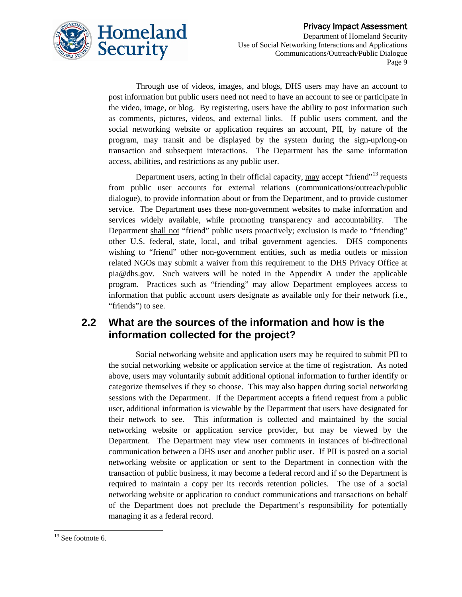

Through use of videos, images, and blogs, DHS users may have an account to post information but public users need not need to have an account to see or participate in the video, image, or blog. By registering, users have the ability to post information such as comments, pictures, videos, and external links. If public users comment, and the social networking website or application requires an account, PII, by nature of the program, may transit and be displayed by the system during the sign-up/long-on transaction and subsequent interactions. The Department has the same information access, abilities, and restrictions as any public user.

Department users, acting in their official capacity, may accept "friend"<sup>[13](#page-8-0)</sup> requests from public user accounts for external relations (communications/outreach/public dialogue), to provide information about or from the Department, and to provide customer service. The Department uses these non-government websites to make information and services widely available, while promoting transparency and accountability. The Department shall not "friend" public users proactively; exclusion is made to "friending" other U.S. federal, state, local, and tribal government agencies. DHS components wishing to "friend" other non-government entities, such as media outlets or mission related NGOs may submit a waiver from this requirement to the DHS Privacy Office at pia@dhs.gov. Such waivers will be noted in the Appendix A under the applicable program. Practices such as "friending" may allow Department employees access to information that public account users designate as available only for their network (i.e., "friends") to see.

### **2.2 What are the sources of the information and how is the information collected for the project?**

Social networking website and application users may be required to submit PII to the social networking website or application service at the time of registration. As noted above, users may voluntarily submit additional optional information to further identify or categorize themselves if they so choose. This may also happen during social networking sessions with the Department. If the Department accepts a friend request from a public user, additional information is viewable by the Department that users have designated for their network to see. This information is collected and maintained by the social networking website or application service provider, but may be viewed by the Department. The Department may view user comments in instances of bi-directional communication between a DHS user and another public user. If PII is posted on a social networking website or application or sent to the Department in connection with the transaction of public business, it may become a federal record and if so the Department is required to maintain a copy per its records retention policies. The use of a social networking website or application to conduct communications and transactions on behalf of the Department does not preclude the Department's responsibility for potentially managing it as a federal record.

<span id="page-8-0"></span> $13$  See footnote 6.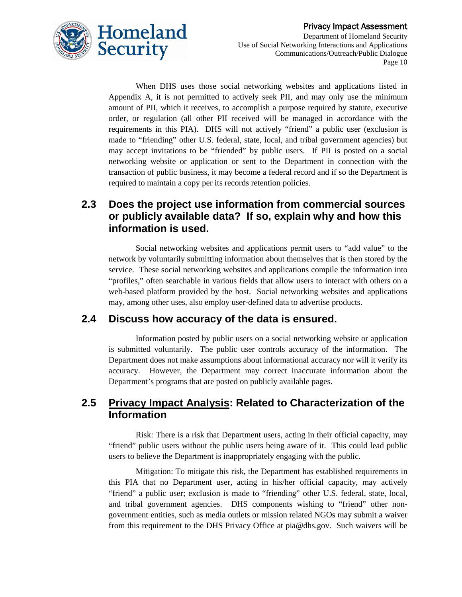

When DHS uses those social networking websites and applications listed in Appendix A, it is not permitted to actively seek PII, and may only use the minimum amount of PII, which it receives, to accomplish a purpose required by statute, executive order, or regulation (all other PII received will be managed in accordance with the requirements in this PIA). DHS will not actively "friend" a public user (exclusion is made to "friending" other U.S. federal, state, local, and tribal government agencies) but may accept invitations to be "friended" by public users. If PII is posted on a social networking website or application or sent to the Department in connection with the transaction of public business, it may become a federal record and if so the Department is required to maintain a copy per its records retention policies.

### **2.3 Does the project use information from commercial sources or publicly available data? If so, explain why and how this information is used.**

Social networking websites and applications permit users to "add value" to the network by voluntarily submitting information about themselves that is then stored by the service. These social networking websites and applications compile the information into "profiles," often searchable in various fields that allow users to interact with others on a web-based platform provided by the host. Social networking websites and applications may, among other uses, also employ user-defined data to advertise products.

#### **2.4 Discuss how accuracy of the data is ensured.**

Information posted by public users on a social networking website or application is submitted voluntarily. The public user controls accuracy of the information. The Department does not make assumptions about informational accuracy nor will it verify its accuracy. However, the Department may correct inaccurate information about the Department's programs that are posted on publicly available pages.

#### **2.5 Privacy Impact Analysis: Related to Characterization of the Information**

Risk: There is a risk that Department users, acting in their official capacity, may "friend" public users without the public users being aware of it. This could lead public users to believe the Department is inappropriately engaging with the public.

Mitigation: To mitigate this risk, the Department has established requirements in this PIA that no Department user, acting in his/her official capacity, may actively "friend" a public user; exclusion is made to "friending" other U.S. federal, state, local, and tribal government agencies. DHS components wishing to "friend" other nongovernment entities, such as media outlets or mission related NGOs may submit a waiver from this requirement to the DHS Privacy Office at pia@dhs.gov. Such waivers will be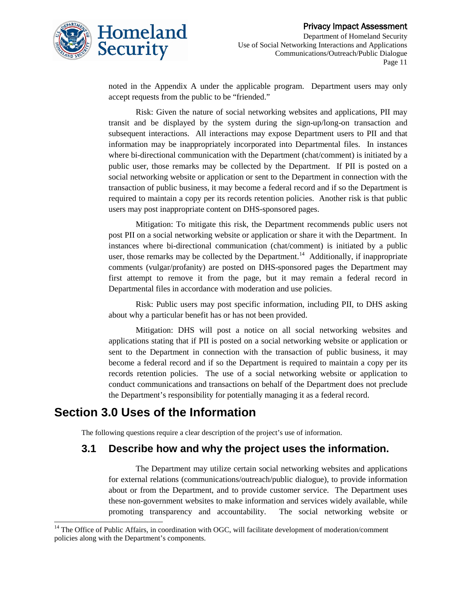

noted in the Appendix A under the applicable program. Department users may only accept requests from the public to be "friended."

Risk: Given the nature of social networking websites and applications, PII may transit and be displayed by the system during the sign-up/long-on transaction and subsequent interactions. All interactions may expose Department users to PII and that information may be inappropriately incorporated into Departmental files. In instances where bi-directional communication with the Department (chat/comment) is initiated by a public user, those remarks may be collected by the Department. If PII is posted on a social networking website or application or sent to the Department in connection with the transaction of public business, it may become a federal record and if so the Department is required to maintain a copy per its records retention policies. Another risk is that public users may post inappropriate content on DHS-sponsored pages.

Mitigation: To mitigate this risk, the Department recommends public users not post PII on a social networking website or application or share it with the Department. In instances where bi-directional communication (chat/comment) is initiated by a public user, those remarks may be collected by the Department.<sup>[14](#page-10-0)</sup> Additionally, if inappropriate comments (vulgar/profanity) are posted on DHS-sponsored pages the Department may first attempt to remove it from the page, but it may remain a federal record in Departmental files in accordance with moderation and use policies.

Risk: Public users may post specific information, including PII, to DHS asking about why a particular benefit has or has not been provided.

Mitigation: DHS will post a notice on all social networking websites and applications stating that if PII is posted on a social networking website or application or sent to the Department in connection with the transaction of public business, it may become a federal record and if so the Department is required to maintain a copy per its records retention policies. The use of a social networking website or application to conduct communications and transactions on behalf of the Department does not preclude the Department's responsibility for potentially managing it as a federal record.

### **Section 3.0 Uses of the Information**

The following questions require a clear description of the project's use of information.

#### **3.1 Describe how and why the project uses the information.**

The Department may utilize certain social networking websites and applications for external relations (communications/outreach/public dialogue), to provide information about or from the Department, and to provide customer service. The Department uses these non-government websites to make information and services widely available, while promoting transparency and accountability. The social networking website or

<span id="page-10-0"></span><sup>&</sup>lt;sup>14</sup> The Office of Public Affairs, in coordination with OGC, will facilitate development of moderation/comment policies along with the Department's components.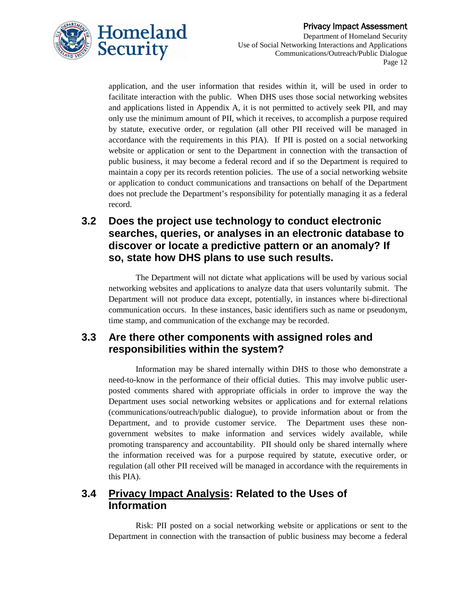

application, and the user information that resides within it, will be used in order to facilitate interaction with the public. When DHS uses those social networking websites and applications listed in Appendix A, it is not permitted to actively seek PII, and may only use the minimum amount of PII, which it receives, to accomplish a purpose required by statute, executive order, or regulation (all other PII received will be managed in accordance with the requirements in this PIA). If PII is posted on a social networking website or application or sent to the Department in connection with the transaction of public business, it may become a federal record and if so the Department is required to maintain a copy per its records retention policies. The use of a social networking website or application to conduct communications and transactions on behalf of the Department does not preclude the Department's responsibility for potentially managing it as a federal record.

### **3.2 Does the project use technology to conduct electronic searches, queries, or analyses in an electronic database to discover or locate a predictive pattern or an anomaly? If so, state how DHS plans to use such results.**

The Department will not dictate what applications will be used by various social networking websites and applications to analyze data that users voluntarily submit. The Department will not produce data except, potentially, in instances where bi-directional communication occurs. In these instances, basic identifiers such as name or pseudonym, time stamp, and communication of the exchange may be recorded.

#### **3.3 Are there other components with assigned roles and responsibilities within the system?**

Information may be shared internally within DHS to those who demonstrate a need-to-know in the performance of their official duties. This may involve public userposted comments shared with appropriate officials in order to improve the way the Department uses social networking websites or applications and for external relations (communications/outreach/public dialogue), to provide information about or from the Department, and to provide customer service. The Department uses these nongovernment websites to make information and services widely available, while promoting transparency and accountability. PII should only be shared internally where the information received was for a purpose required by statute, executive order, or regulation (all other PII received will be managed in accordance with the requirements in this PIA).

### **3.4 Privacy Impact Analysis: Related to the Uses of Information**

Risk: PII posted on a social networking website or applications or sent to the Department in connection with the transaction of public business may become a federal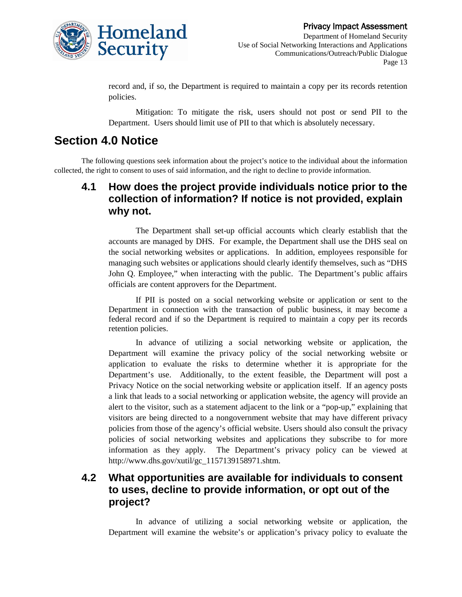

record and, if so, the Department is required to maintain a copy per its records retention policies.

Mitigation: To mitigate the risk, users should not post or send PII to the Department. Users should limit use of PII to that which is absolutely necessary.

# **Section 4.0 Notice**

The following questions seek information about the project's notice to the individual about the information collected, the right to consent to uses of said information, and the right to decline to provide information.

### **4.1 How does the project provide individuals notice prior to the collection of information? If notice is not provided, explain why not.**

The Department shall set-up official accounts which clearly establish that the accounts are managed by DHS. For example, the Department shall use the DHS seal on the social networking websites or applications. In addition, employees responsible for managing such websites or applications should clearly identify themselves, such as "DHS John Q. Employee," when interacting with the public. The Department's public affairs officials are content approvers for the Department.

If PII is posted on a social networking website or application or sent to the Department in connection with the transaction of public business, it may become a federal record and if so the Department is required to maintain a copy per its records retention policies.

In advance of utilizing a social networking website or application, the Department will examine the privacy policy of the social networking website or application to evaluate the risks to determine whether it is appropriate for the Department's use. Additionally, to the extent feasible, the Department will post a Privacy Notice on the social networking website or application itself. If an agency posts a link that leads to a social networking or application website, the agency will provide an alert to the visitor, such as a statement adjacent to the link or a "pop-up," explaining that visitors are being directed to a nongovernment website that may have different privacy policies from those of the agency's official website. Users should also consult the privacy policies of social networking websites and applications they subscribe to for more information as they apply. The Department's privacy policy can be viewed at http://www.dhs.gov/xutil/gc\_1157139158971.shtm.

### **4.2 What opportunities are available for individuals to consent to uses, decline to provide information, or opt out of the project?**

In advance of utilizing a social networking website or application, the Department will examine the website's or application's privacy policy to evaluate the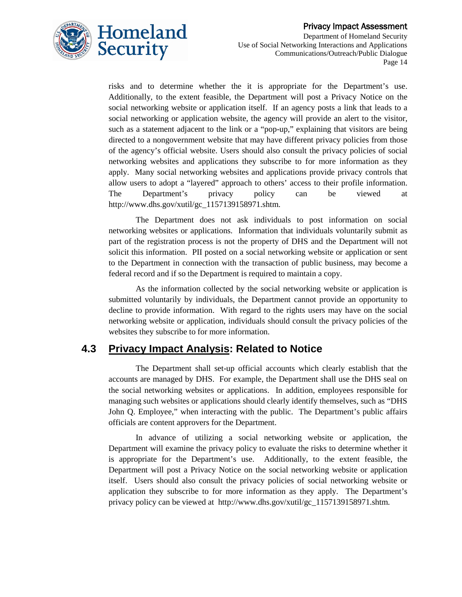

risks and to determine whether the it is appropriate for the Department's use. Additionally, to the extent feasible, the Department will post a Privacy Notice on the social networking website or application itself. If an agency posts a link that leads to a social networking or application website, the agency will provide an alert to the visitor, such as a statement adjacent to the link or a "pop-up," explaining that visitors are being directed to a nongovernment website that may have different privacy policies from those of the agency's official website. Users should also consult the privacy policies of social networking websites and applications they subscribe to for more information as they apply. Many social networking websites and applications provide privacy controls that allow users to adopt a "layered" approach to others' access to their profile information. The Department's privacy policy can be viewed at http://www.dhs.gov/xutil/gc\_1157139158971.shtm.

The Department does not ask individuals to post information on social networking websites or applications. Information that individuals voluntarily submit as part of the registration process is not the property of DHS and the Department will not solicit this information. PII posted on a social networking website or application or sent to the Department in connection with the transaction of public business, may become a federal record and if so the Department is required to maintain a copy.

As the information collected by the social networking website or application is submitted voluntarily by individuals, the Department cannot provide an opportunity to decline to provide information. With regard to the rights users may have on the social networking website or application, individuals should consult the privacy policies of the websites they subscribe to for more information.

#### **4.3 Privacy Impact Analysis: Related to Notice**

The Department shall set-up official accounts which clearly establish that the accounts are managed by DHS. For example, the Department shall use the DHS seal on the social networking websites or applications. In addition, employees responsible for managing such websites or applications should clearly identify themselves, such as "DHS John Q. Employee," when interacting with the public. The Department's public affairs officials are content approvers for the Department.

In advance of utilizing a social networking website or application, the Department will examine the privacy policy to evaluate the risks to determine whether it is appropriate for the Department's use. Additionally, to the extent feasible, the Department will post a Privacy Notice on the social networking website or application itself. Users should also consult the privacy policies of social networking website or application they subscribe to for more information as they apply. The Department's privacy policy can be viewed at [http://www.dhs.gov/xutil/gc\\_1157139158971.shtm.](http://www.dhs.gov/xutil/gc_1157139158971.shtm)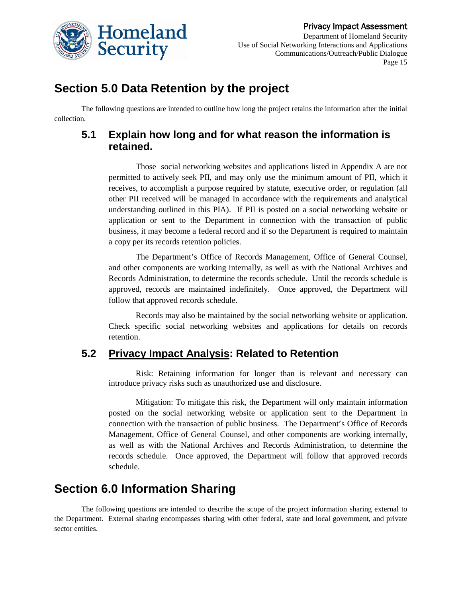

Department of Homeland Security Use of Social Networking Interactions and Applications Communications/Outreach/Public Dialogue Page 15

### **Section 5.0 Data Retention by the project**

The following questions are intended to outline how long the project retains the information after the initial collection.

### **5.1 Explain how long and for what reason the information is retained.**

Those social networking websites and applications listed in Appendix A are not permitted to actively seek PII, and may only use the minimum amount of PII, which it receives, to accomplish a purpose required by statute, executive order, or regulation (all other PII received will be managed in accordance with the requirements and analytical understanding outlined in this PIA). If PII is posted on a social networking website or application or sent to the Department in connection with the transaction of public business, it may become a federal record and if so the Department is required to maintain a copy per its records retention policies.

The Department's Office of Records Management, Office of General Counsel, and other components are working internally, as well as with the National Archives and Records Administration, to determine the records schedule. Until the records schedule is approved, records are maintained indefinitely. Once approved, the Department will follow that approved records schedule.

Records may also be maintained by the social networking website or application. Check specific social networking websites and applications for details on records retention.

### **5.2 Privacy Impact Analysis: Related to Retention**

Risk: Retaining information for longer than is relevant and necessary can introduce privacy risks such as unauthorized use and disclosure.

Mitigation: To mitigate this risk, the Department will only maintain information posted on the social networking website or application sent to the Department in connection with the transaction of public business. The Department's Office of Records Management, Office of General Counsel, and other components are working internally, as well as with the National Archives and Records Administration, to determine the records schedule. Once approved, the Department will follow that approved records schedule.

### **Section 6.0 Information Sharing**

The following questions are intended to describe the scope of the project information sharing external to the Department. External sharing encompasses sharing with other federal, state and local government, and private sector entities.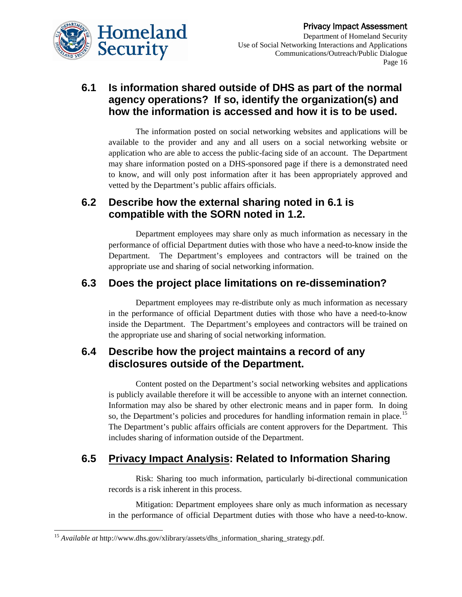

### **6.1 Is information shared outside of DHS as part of the normal agency operations? If so, identify the organization(s) and how the information is accessed and how it is to be used.**

The information posted on social networking websites and applications will be available to the provider and any and all users on a social networking website or application who are able to access the public-facing side of an account. The Department may share information posted on a DHS-sponsored page if there is a demonstrated need to know, and will only post information after it has been appropriately approved and vetted by the Department's public affairs officials.

### **6.2 Describe how the external sharing noted in 6.1 is compatible with the SORN noted in 1.2.**

Department employees may share only as much information as necessary in the performance of official Department duties with those who have a need-to-know inside the Department. The Department's employees and contractors will be trained on the appropriate use and sharing of social networking information.

### **6.3 Does the project place limitations on re-dissemination?**

Department employees may re-distribute only as much information as necessary in the performance of official Department duties with those who have a need-to-know inside the Department. The Department's employees and contractors will be trained on the appropriate use and sharing of social networking information.

#### **6.4 Describe how the project maintains a record of any disclosures outside of the Department.**

Content posted on the Department's social networking websites and applications is publicly available therefore it will be accessible to anyone with an internet connection. Information may also be shared by other electronic means and in paper form. In doing so, the Department's policies and procedures for handling information remain in place.<sup>[15](#page-15-0)</sup> The Department's public affairs officials are content approvers for the Department. This includes sharing of information outside of the Department.

### **6.5 Privacy Impact Analysis: Related to Information Sharing**

Risk: Sharing too much information, particularly bi-directional communication records is a risk inherent in this process.

Mitigation: Department employees share only as much information as necessary in the performance of official Department duties with those who have a need-to-know.

<span id="page-15-0"></span> <sup>15</sup> *Available at* http://www.dhs.gov/xlibrary/assets/dhs\_information\_sharing\_strategy.pdf.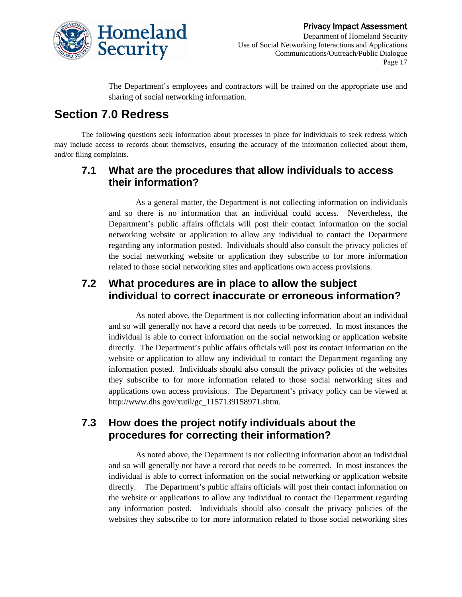

The Department's employees and contractors will be trained on the appropriate use and sharing of social networking information.

# **Section 7.0 Redress**

The following questions seek information about processes in place for individuals to seek redress which may include access to records about themselves, ensuring the accuracy of the information collected about them, and/or filing complaints.

#### **7.1 What are the procedures that allow individuals to access their information?**

As a general matter, the Department is not collecting information on individuals and so there is no information that an individual could access. Nevertheless, the Department's public affairs officials will post their contact information on the social networking website or application to allow any individual to contact the Department regarding any information posted. Individuals should also consult the privacy policies of the social networking website or application they subscribe to for more information related to those social networking sites and applications own access provisions.

### **7.2 What procedures are in place to allow the subject individual to correct inaccurate or erroneous information?**

As noted above, the Department is not collecting information about an individual and so will generally not have a record that needs to be corrected. In most instances the individual is able to correct information on the social networking or application website directly. The Department's public affairs officials will post its contact information on the website or application to allow any individual to contact the Department regarding any information posted. Individuals should also consult the privacy policies of the websites they subscribe to for more information related to those social networking sites and applications own access provisions. The Department's privacy policy can be viewed at http://www.dhs.gov/xutil/gc\_1157139158971.shtm.

### **7.3 How does the project notify individuals about the procedures for correcting their information?**

As noted above, the Department is not collecting information about an individual and so will generally not have a record that needs to be corrected. In most instances the individual is able to correct information on the social networking or application website directly. The Department's public affairs officials will post their contact information on the website or applications to allow any individual to contact the Department regarding any information posted. Individuals should also consult the privacy policies of the websites they subscribe to for more information related to those social networking sites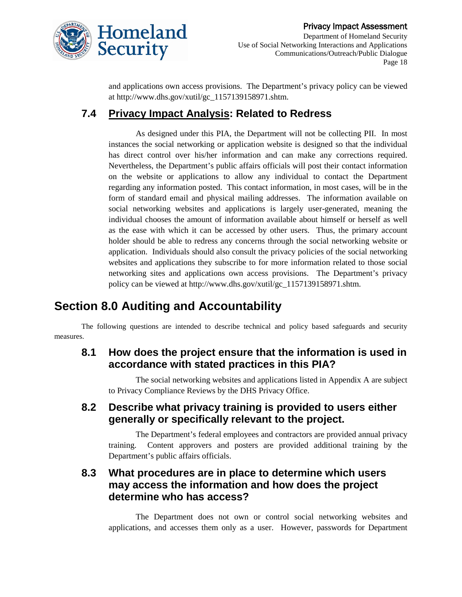

and applications own access provisions. The Department's privacy policy can be viewed at http://www.dhs.gov/xutil/gc\_1157139158971.shtm.

### **7.4 Privacy Impact Analysis: Related to Redress**

As designed under this PIA, the Department will not be collecting PII. In most instances the social networking or application website is designed so that the individual has direct control over his/her information and can make any corrections required. Nevertheless, the Department's public affairs officials will post their contact information on the website or applications to allow any individual to contact the Department regarding any information posted. This contact information, in most cases, will be in the form of standard email and physical mailing addresses. The information available on social networking websites and applications is largely user-generated, meaning the individual chooses the amount of information available about himself or herself as well as the ease with which it can be accessed by other users. Thus, the primary account holder should be able to redress any concerns through the social networking website or application. Individuals should also consult the privacy policies of the social networking websites and applications they subscribe to for more information related to those social networking sites and applications own access provisions. The Department's privacy policy can be viewed at http://www.dhs.gov/xutil/gc\_1157139158971.shtm.

# **Section 8.0 Auditing and Accountability**

The following questions are intended to describe technical and policy based safeguards and security measures.

### **8.1 How does the project ensure that the information is used in accordance with stated practices in this PIA?**

The social networking websites and applications listed in Appendix A are subject to Privacy Compliance Reviews by the DHS Privacy Office.

#### **8.2 Describe what privacy training is provided to users either generally or specifically relevant to the project.**

The Department's federal employees and contractors are provided annual privacy training. Content approvers and posters are provided additional training by the Department's public affairs officials.

### **8.3 What procedures are in place to determine which users may access the information and how does the project determine who has access?**

The Department does not own or control social networking websites and applications, and accesses them only as a user. However, passwords for Department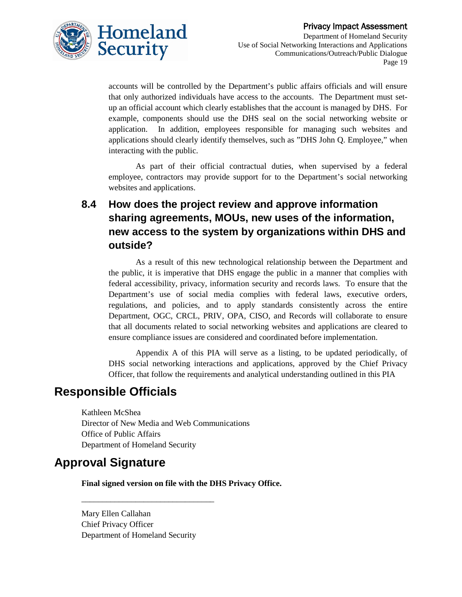

accounts will be controlled by the Department's public affairs officials and will ensure that only authorized individuals have access to the accounts. The Department must setup an official account which clearly establishes that the account is managed by DHS. For example, components should use the DHS seal on the social networking website or application. In addition, employees responsible for managing such websites and applications should clearly identify themselves, such as "DHS John Q. Employee," when interacting with the public.

As part of their official contractual duties, when supervised by a federal employee, contractors may provide support for to the Department's social networking websites and applications.

### **8.4 How does the project review and approve information sharing agreements, MOUs, new uses of the information, new access to the system by organizations within DHS and outside?**

As a result of this new technological relationship between the Department and the public, it is imperative that DHS engage the public in a manner that complies with federal accessibility, privacy, information security and records laws. To ensure that the Department's use of social media complies with federal laws, executive orders, regulations, and policies, and to apply standards consistently across the entire Department, OGC, CRCL, PRIV, OPA, CISO, and Records will collaborate to ensure that all documents related to social networking websites and applications are cleared to ensure compliance issues are considered and coordinated before implementation.

Appendix A of this PIA will serve as a listing, to be updated periodically, of DHS social networking interactions and applications, approved by the Chief Privacy Officer, that follow the requirements and analytical understanding outlined in this PIA

### **Responsible Officials**

Kathleen McShea Director of New Media and Web Communications Office of Public Affairs Department of Homeland Security

### **Approval Signature**

**Final signed version on file with the DHS Privacy Office.**

Mary Ellen Callahan Chief Privacy Officer Department of Homeland Security

\_\_\_\_\_\_\_\_\_\_\_\_\_\_\_\_\_\_\_\_\_\_\_\_\_\_\_\_\_\_\_\_